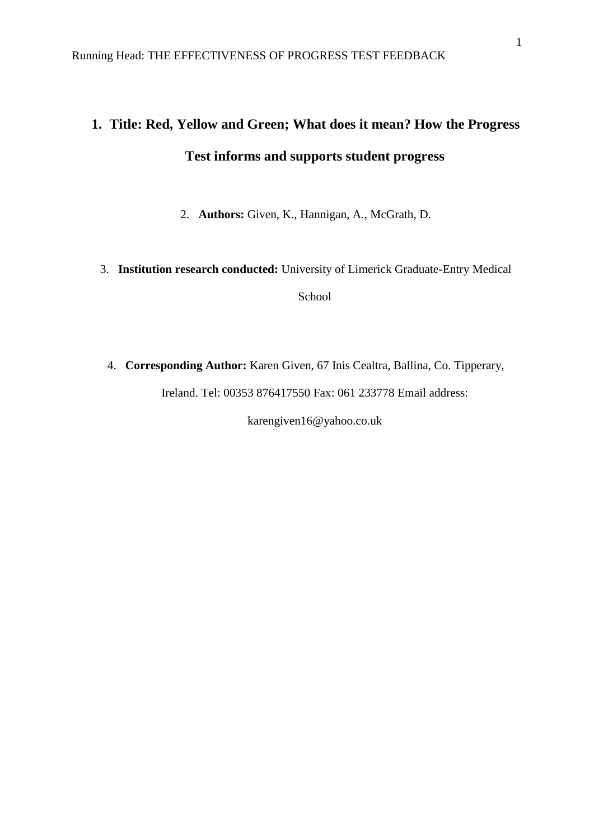# **1. Title: Red, Yellow and Green; What does it mean? How the Progress Test informs and supports student progress**

2. **Authors:** Given, K., Hannigan, A., McGrath, D.

# 3. **Institution research conducted:** University of Limerick Graduate-Entry Medical School

4. **Corresponding Author:** Karen Given, 67 Inis Cealtra, Ballina, Co. Tipperary, Ireland. Tel: 00353 876417550 Fax: 061 233778 Email address:

karengiven16@yahoo.co.uk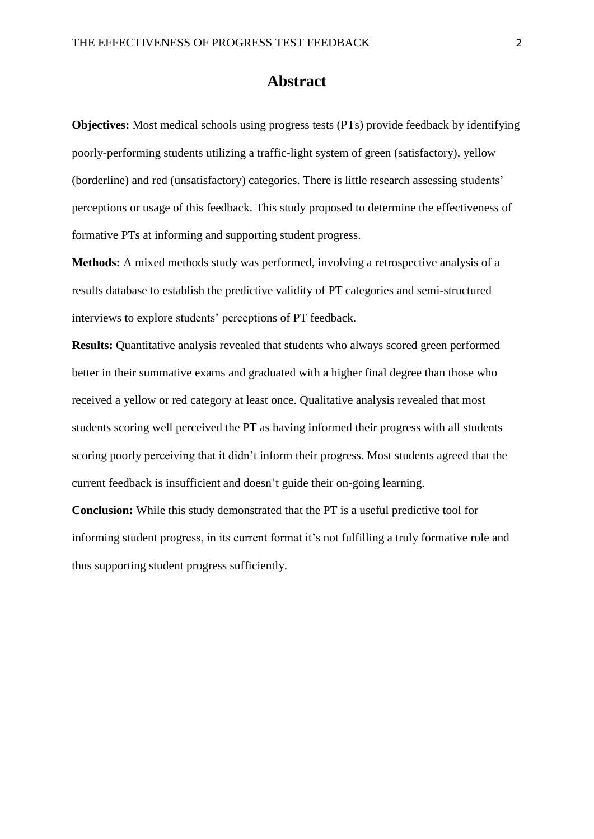# **Abstract**

**Objectives:** Most medical schools using progress tests (PTs) provide feedback by identifying poorly-performing students utilizing a traffic-light system of green (satisfactory), yellow (borderline) and red (unsatisfactory) categories. There is little research assessing students' perceptions or usage of this feedback. This study proposed to determine the effectiveness of formative PTs at informing and supporting student progress.

**Methods:** A mixed methods study was performed, involving a retrospective analysis of a results database to establish the predictive validity of PT categories and semi-structured interviews to explore students' perceptions of PT feedback.

**Results:** Quantitative analysis revealed that students who always scored green performed better in their summative exams and graduated with a higher final degree than those who received a yellow or red category at least once. Qualitative analysis revealed that most students scoring well perceived the PT as having informed their progress with all students scoring poorly perceiving that it didn't inform their progress. Most students agreed that the current feedback is insufficient and doesn't guide their on-going learning.

**Conclusion:** While this study demonstrated that the PT is a useful predictive tool for informing student progress, in its current format it's not fulfilling a truly formative role and thus supporting student progress sufficiently.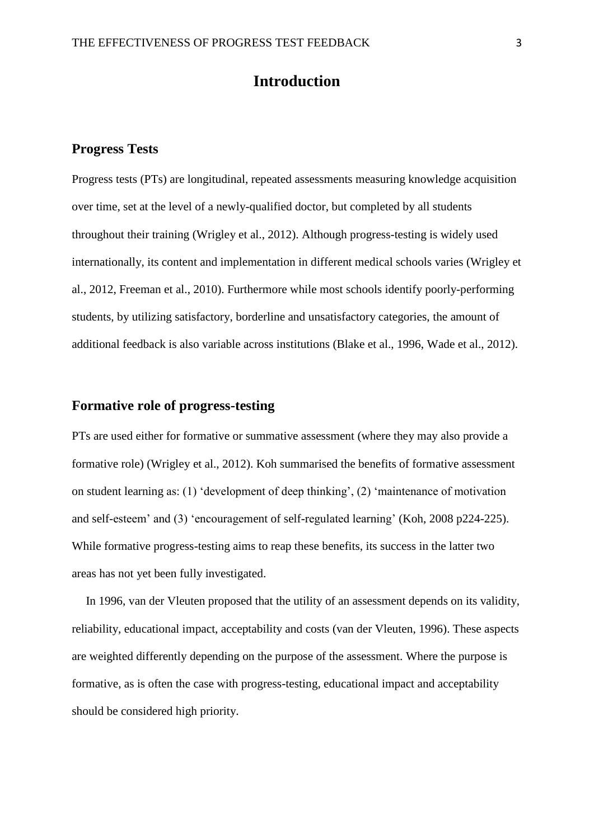# **Introduction**

## **Progress Tests**

Progress tests (PTs) are longitudinal, repeated assessments measuring knowledge acquisition over time, set at the level of a newly-qualified doctor, but completed by all students throughout their training [\(Wrigley et al., 2012\)](#page-21-0). Although progress-testing is widely used internationally, its content and implementation in different medical schools varies [\(Wrigley et](#page-21-0)  [al., 2012,](#page-21-0) [Freeman et al., 2010\)](#page-20-0). Furthermore while most schools identify poorly-performing students, by utilizing satisfactory, borderline and unsatisfactory categories, the amount of additional feedback is also variable across institutions [\(Blake et al., 1996,](#page-19-0) [Wade et al., 2012\)](#page-21-1).

# **Formative role of progress-testing**

PTs are used either for formative or summative assessment (where they may also provide a formative role) [\(Wrigley et al., 2012\)](#page-21-0). Koh summarised the benefits of formative assessment on student learning as: (1) 'development of deep thinking', (2) 'maintenance of motivation and self-esteem' and (3) 'encouragement of self-regulated learning' [\(Koh, 2008 p224-225\)](#page-20-1). While formative progress-testing aims to reap these benefits, its success in the latter two areas has not yet been fully investigated.

In 1996, van der Vleuten proposed that the utility of an assessment depends on its validity, reliability, educational impact, acceptability and costs [\(van der Vleuten, 1996\)](#page-21-2). These aspects are weighted differently depending on the purpose of the assessment. Where the purpose is formative, as is often the case with progress-testing, educational impact and acceptability should be considered high priority.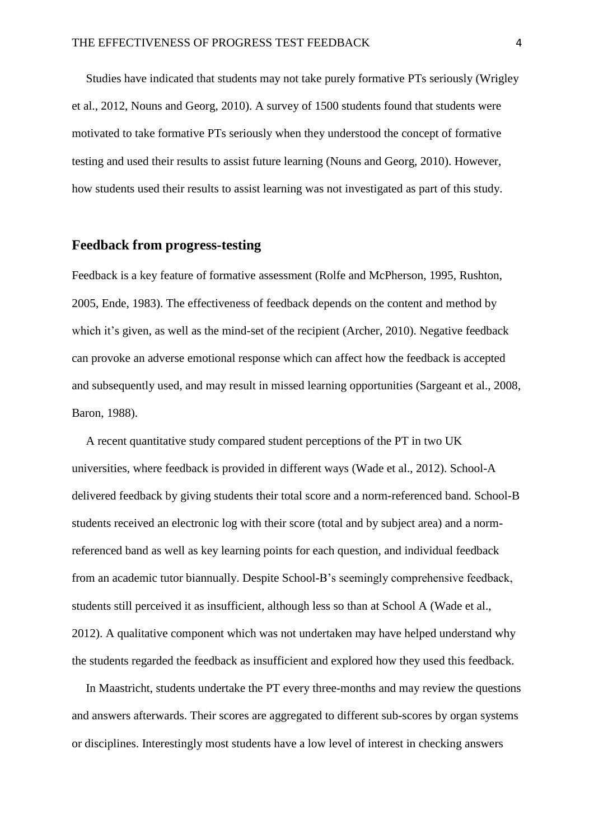Studies have indicated that students may not take purely formative PTs seriously [\(Wrigley](#page-21-0)  [et al., 2012,](#page-21-0) [Nouns and Georg, 2010\)](#page-20-2). A survey of 1500 students found that students were motivated to take formative PTs seriously when they understood the concept of formative testing and used their results to assist future learning [\(Nouns and Georg, 2010\)](#page-20-2). However, how students used their results to assist learning was not investigated as part of this study.

# **Feedback from progress-testing**

Feedback is a key feature of formative assessment [\(Rolfe and McPherson, 1995,](#page-20-3) [Rushton,](#page-20-4)  [2005,](#page-20-4) [Ende, 1983\)](#page-19-1). The effectiveness of feedback depends on the content and method by which it's given, as well as the mind-set of the recipient [\(Archer, 2010\)](#page-19-2). Negative feedback can provoke an adverse emotional response which can affect how the feedback is accepted and subsequently used, and may result in missed learning opportunities [\(Sargeant et al., 2008,](#page-20-5) [Baron, 1988\)](#page-19-3).

A recent quantitative study compared student perceptions of the PT in two UK universities, where feedback is provided in different ways [\(Wade et al., 2012\)](#page-21-1). School-A delivered feedback by giving students their total score and a norm-referenced band. School-B students received an electronic log with their score (total and by subject area) and a normreferenced band as well as key learning points for each question, and individual feedback from an academic tutor biannually. Despite School-B's seemingly comprehensive feedback, students still perceived it as insufficient, although less so than at School A [\(Wade et al.,](#page-21-1)  [2012\)](#page-21-1). A qualitative component which was not undertaken may have helped understand why the students regarded the feedback as insufficient and explored how they used this feedback.

In Maastricht, students undertake the PT every three-months and may review the questions and answers afterwards. Their scores are aggregated to different sub-scores by organ systems or disciplines. Interestingly most students have a low level of interest in checking answers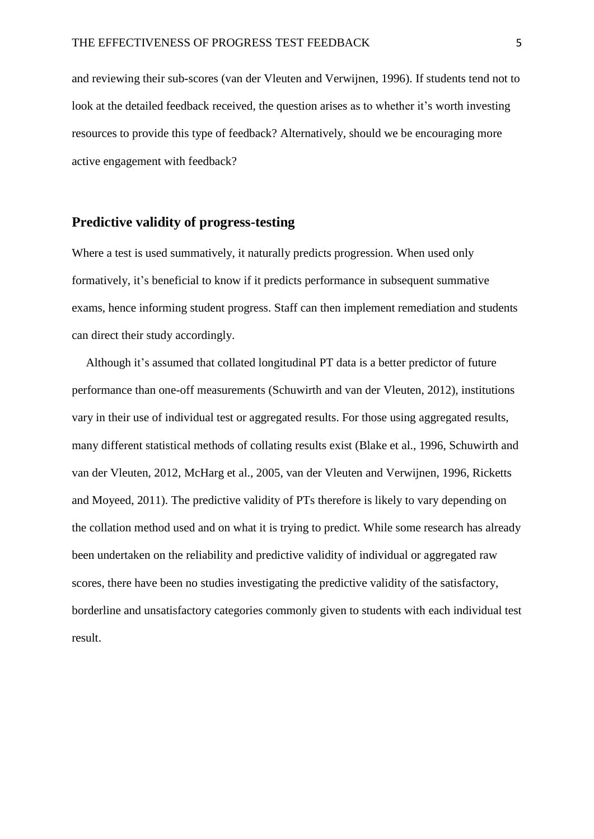and reviewing their sub-scores [\(van der Vleuten and Verwijnen, 1996\)](#page-21-3). If students tend not to look at the detailed feedback received, the question arises as to whether it's worth investing resources to provide this type of feedback? Alternatively, should we be encouraging more active engagement with feedback?

### **Predictive validity of progress-testing**

Where a test is used summatively, it naturally predicts progression. When used only formatively, it's beneficial to know if it predicts performance in subsequent summative exams, hence informing student progress. Staff can then implement remediation and students can direct their study accordingly.

Although it's assumed that collated longitudinal PT data is a better predictor of future performance than one-off measurements [\(Schuwirth and van der Vleuten, 2012\)](#page-20-6), institutions vary in their use of individual test or aggregated results. For those using aggregated results, many different statistical methods of collating results exist [\(Blake et al., 1996,](#page-19-0) [Schuwirth and](#page-20-6)  [van der Vleuten, 2012,](#page-20-6) [McHarg et al., 2005,](#page-20-7) [van der Vleuten and Verwijnen, 1996,](#page-21-3) [Ricketts](#page-20-8)  [and Moyeed, 2011\)](#page-20-8). The predictive validity of PTs therefore is likely to vary depending on the collation method used and on what it is trying to predict. While some research has already been undertaken on the reliability and predictive validity of individual or aggregated raw scores, there have been no studies investigating the predictive validity of the satisfactory, borderline and unsatisfactory categories commonly given to students with each individual test result.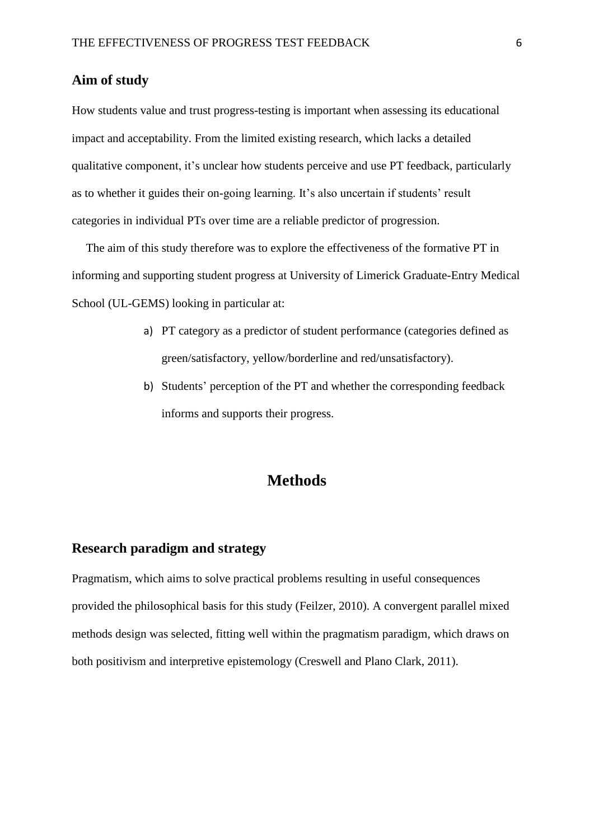# **Aim of study**

How students value and trust progress-testing is important when assessing its educational impact and acceptability. From the limited existing research, which lacks a detailed qualitative component, it's unclear how students perceive and use PT feedback, particularly as to whether it guides their on-going learning. It's also uncertain if students' result categories in individual PTs over time are a reliable predictor of progression.

The aim of this study therefore was to explore the effectiveness of the formative PT in informing and supporting student progress at University of Limerick Graduate-Entry Medical School (UL-GEMS) looking in particular at:

- a) PT category as a predictor of student performance (categories defined as green/satisfactory, yellow/borderline and red/unsatisfactory).
- b) Students' perception of the PT and whether the corresponding feedback informs and supports their progress.

# **Methods**

# **Research paradigm and strategy**

Pragmatism, which aims to solve practical problems resulting in useful consequences provided the philosophical basis for this study [\(Feilzer, 2010\)](#page-19-4). A convergent parallel mixed methods design was selected, fitting well within the pragmatism paradigm, which draws on both positivism and interpretive epistemology [\(Creswell and Plano Clark, 2011\)](#page-19-5).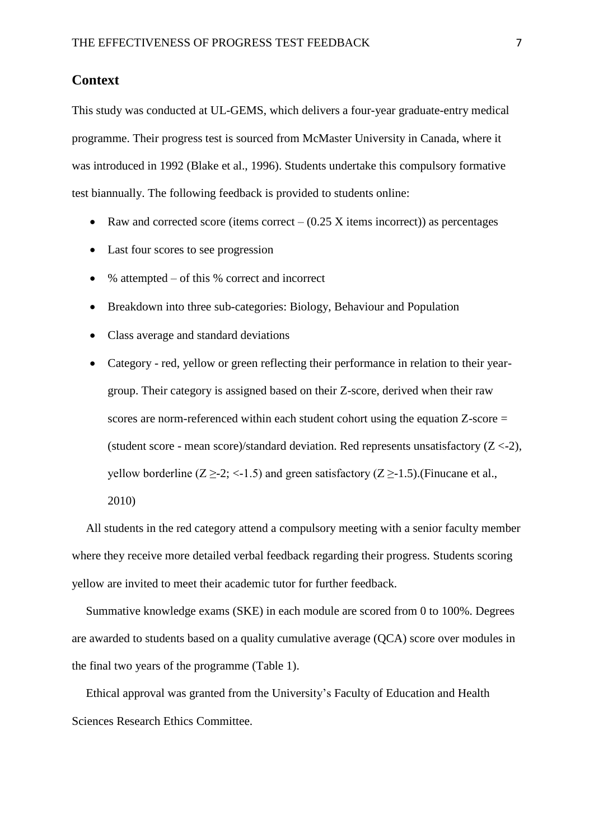# **Context**

This study was conducted at UL-GEMS, which delivers a four-year graduate-entry medical programme. Their progress test is sourced from McMaster University in Canada, where it was introduced in 1992 [\(Blake et al., 1996\)](#page-19-0). Students undertake this compulsory formative test biannually. The following feedback is provided to students online:

- Raw and corrected score (items correct  $(0.25 \text{ X})$  items incorrect)) as percentages
- Last four scores to see progression
- $\bullet$  % attempted of this % correct and incorrect
- Breakdown into three sub-categories: Biology, Behaviour and Population
- Class average and standard deviations

 Category - red, yellow or green reflecting their performance in relation to their yeargroup. Their category is assigned based on their Z-score, derived when their raw scores are norm-referenced within each student cohort using the equation Z-score = (student score - mean score)/standard deviation. Red represents unsatisfactory  $(Z < -2)$ , yellow borderline ( $Z \geq 2$ ; <-1.5) and green satisfactory ( $Z \geq -1.5$ ).(Finucane et al., [2010\)](#page-19-6)

All students in the red category attend a compulsory meeting with a senior faculty member where they receive more detailed verbal feedback regarding their progress. Students scoring yellow are invited to meet their academic tutor for further feedback.

Summative knowledge exams (SKE) in each module are scored from 0 to 100%. Degrees are awarded to students based on a quality cumulative average (QCA) score over modules in the final two years of the programme (Table 1).

Ethical approval was granted from the University's Faculty of Education and Health Sciences Research Ethics Committee.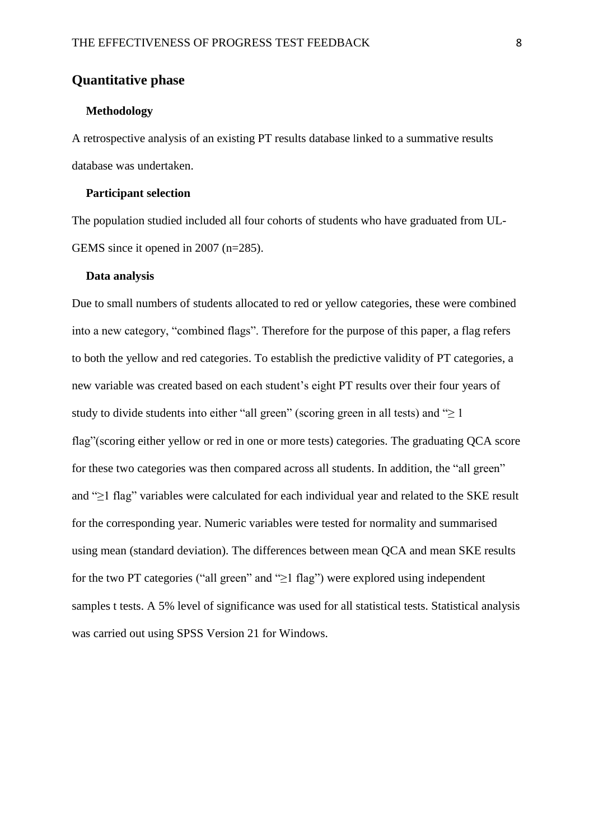# **Quantitative phase**

#### **Methodology**

A retrospective analysis of an existing PT results database linked to a summative results database was undertaken.

#### **Participant selection**

The population studied included all four cohorts of students who have graduated from UL-GEMS since it opened in 2007 (n=285).

#### **Data analysis**

Due to small numbers of students allocated to red or yellow categories, these were combined into a new category, "combined flags". Therefore for the purpose of this paper, a flag refers to both the yellow and red categories. To establish the predictive validity of PT categories, a new variable was created based on each student's eight PT results over their four years of study to divide students into either "all green" (scoring green in all tests) and " $\geq 1$ flag"(scoring either yellow or red in one or more tests) categories. The graduating QCA score for these two categories was then compared across all students. In addition, the "all green" and "≥1 flag" variables were calculated for each individual year and related to the SKE result for the corresponding year. Numeric variables were tested for normality and summarised using mean (standard deviation). The differences between mean QCA and mean SKE results for the two PT categories ("all green" and " $\geq$ 1 flag") were explored using independent samples t tests. A 5% level of significance was used for all statistical tests. Statistical analysis was carried out using SPSS Version 21 for Windows.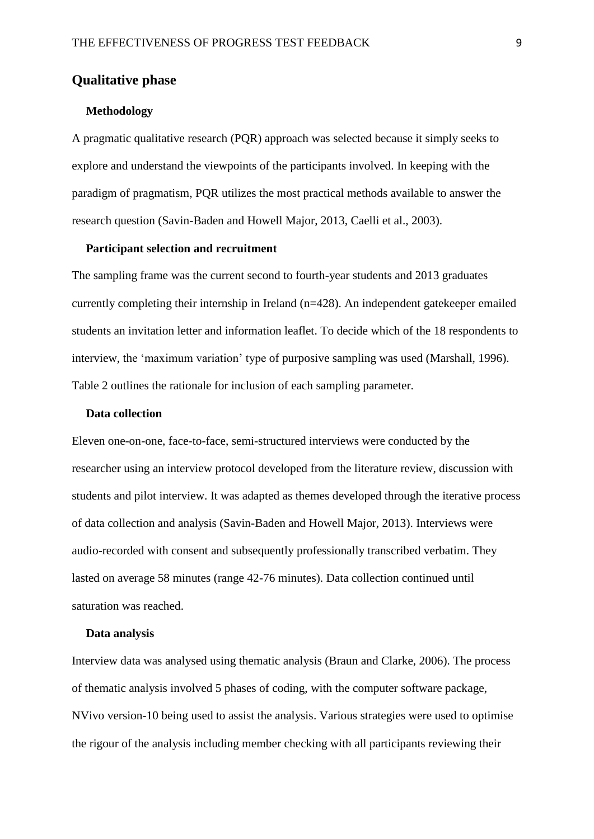# **Qualitative phase**

#### **Methodology**

A pragmatic qualitative research (PQR) approach was selected because it simply seeks to explore and understand the viewpoints of the participants involved. In keeping with the paradigm of pragmatism, PQR utilizes the most practical methods available to answer the research question [\(Savin-Baden and Howell Major, 2013,](#page-20-9) [Caelli et al., 2003\)](#page-19-7).

### **Participant selection and recruitment**

The sampling frame was the current second to fourth-year students and 2013 graduates currently completing their internship in Ireland (n=428). An independent gatekeeper emailed students an invitation letter and information leaflet. To decide which of the 18 respondents to interview, the 'maximum variation' type of purposive sampling was used [\(Marshall, 1996\)](#page-20-10). Table 2 outlines the rationale for inclusion of each sampling parameter.

#### **Data collection**

Eleven one-on-one, face-to-face, semi-structured interviews were conducted by the researcher using an interview protocol developed from the literature review, discussion with students and pilot interview. It was adapted as themes developed through the iterative process of data collection and analysis [\(Savin-Baden and Howell Major, 2013\)](#page-20-9). Interviews were audio-recorded with consent and subsequently professionally transcribed verbatim. They lasted on average 58 minutes (range 42-76 minutes). Data collection continued until saturation was reached.

#### **Data analysis**

Interview data was analysed using thematic analysis [\(Braun and Clarke, 2006\)](#page-19-8). The process of thematic analysis involved 5 phases of coding, with the computer software package, NVivo version-10 being used to assist the analysis. Various strategies were used to optimise the rigour of the analysis including member checking with all participants reviewing their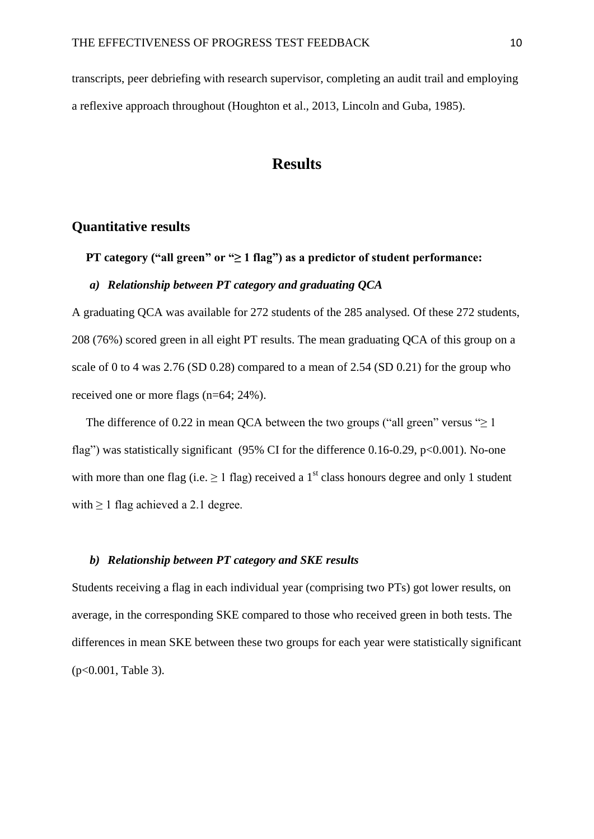transcripts, peer debriefing with research supervisor, completing an audit trail and employing a reflexive approach throughout [\(Houghton et al., 2013,](#page-20-11) [Lincoln and Guba, 1985\)](#page-20-12).

# **Results**

# **Quantitative results**

## **PT category ("all green" or "≥ 1 flag") as a predictor of student performance:**

## *a) Relationship between PT category and graduating QCA*

A graduating QCA was available for 272 students of the 285 analysed. Of these 272 students, 208 (76%) scored green in all eight PT results. The mean graduating QCA of this group on a scale of 0 to 4 was 2.76 (SD 0.28) compared to a mean of 2.54 (SD 0.21) for the group who received one or more flags (n=64; 24%).

The difference of 0.22 in mean QCA between the two groups ("all green" versus " $\geq 1$ ") flag") was statistically significant (95% CI for the difference 0.16-0.29,  $p<0.001$ ). No-one with more than one flag (i.e.  $\geq 1$  flag) received a 1<sup>st</sup> class honours degree and only 1 student with  $\geq 1$  flag achieved a 2.1 degree.

#### *b) Relationship between PT category and SKE results*

Students receiving a flag in each individual year (comprising two PTs) got lower results, on average, in the corresponding SKE compared to those who received green in both tests. The differences in mean SKE between these two groups for each year were statistically significant (p<0.001, Table 3).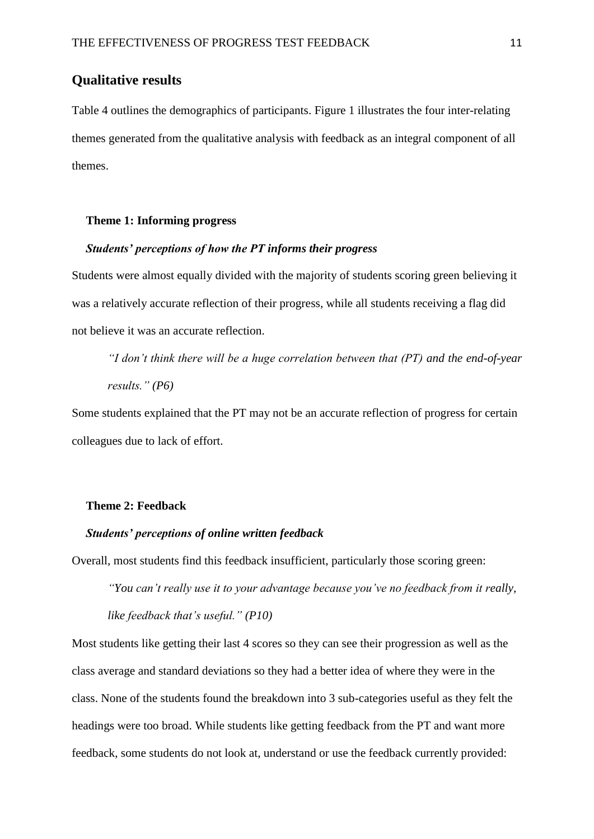# **Qualitative results**

Table 4 outlines the demographics of participants. Figure 1 illustrates the four inter-relating themes generated from the qualitative analysis with feedback as an integral component of all themes.

#### **Theme 1: Informing progress**

#### *Students' perceptions of how the PT informs their progress*

Students were almost equally divided with the majority of students scoring green believing it was a relatively accurate reflection of their progress, while all students receiving a flag did not believe it was an accurate reflection.

*"I don't think there will be a huge correlation between that (PT) and the end-of-year results." (P6)*

Some students explained that the PT may not be an accurate reflection of progress for certain colleagues due to lack of effort.

#### **Theme 2: Feedback**

#### *Students' perceptions of online written feedback*

Overall, most students find this feedback insufficient, particularly those scoring green:

*"You can't really use it to your advantage because you've no feedback from it really, like feedback that's useful." (P10)*

Most students like getting their last 4 scores so they can see their progression as well as the class average and standard deviations so they had a better idea of where they were in the class. None of the students found the breakdown into 3 sub-categories useful as they felt the headings were too broad. While students like getting feedback from the PT and want more feedback, some students do not look at, understand or use the feedback currently provided: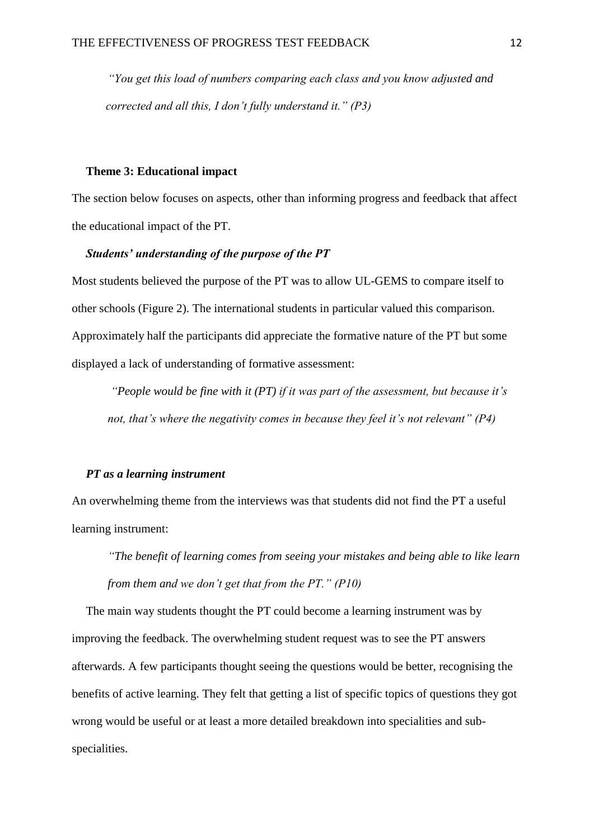*"You get this load of numbers comparing each class and you know adjusted and corrected and all this, I don't fully understand it." (P3)*

### **Theme 3: Educational impact**

The section below focuses on aspects, other than informing progress and feedback that affect the educational impact of the PT.

## *Students' understanding of the purpose of the PT*

Most students believed the purpose of the PT was to allow UL-GEMS to compare itself to other schools (Figure 2). The international students in particular valued this comparison. Approximately half the participants did appreciate the formative nature of the PT but some displayed a lack of understanding of formative assessment:

*"People would be fine with it (PT) if it was part of the assessment, but because it's not, that's where the negativity comes in because they feel it's not relevant" (P4)*

### *PT as a learning instrument*

An overwhelming theme from the interviews was that students did not find the PT a useful learning instrument:

*"The benefit of learning comes from seeing your mistakes and being able to like learn from them and we don't get that from the PT." (P10)*

The main way students thought the PT could become a learning instrument was by improving the feedback. The overwhelming student request was to see the PT answers afterwards. A few participants thought seeing the questions would be better, recognising the benefits of active learning. They felt that getting a list of specific topics of questions they got wrong would be useful or at least a more detailed breakdown into specialities and subspecialities.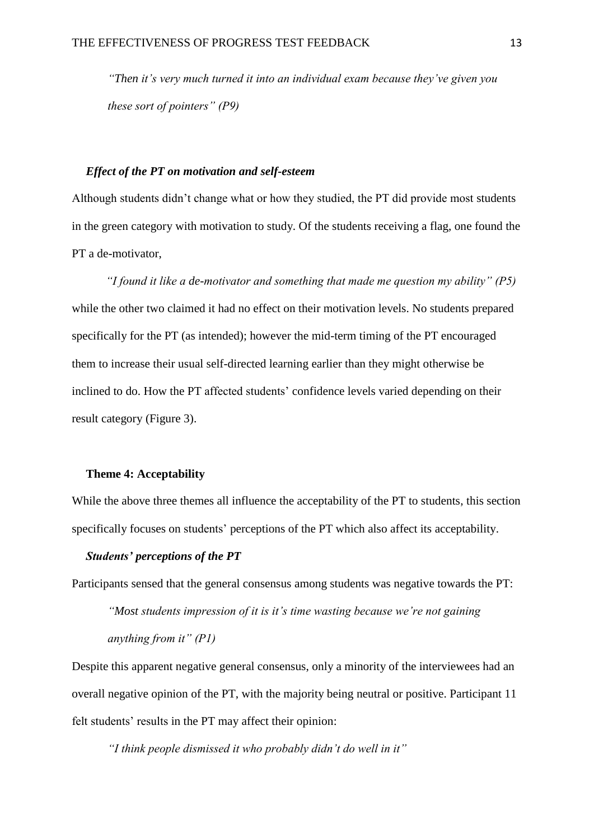*"Then it's very much turned it into an individual exam because they've given you these sort of pointers" (P9)*

### *Effect of the PT on motivation and self-esteem*

Although students didn't change what or how they studied, the PT did provide most students in the green category with motivation to study. Of the students receiving a flag, one found the PT a de-motivator,

*"I found it like a de-motivator and something that made me question my ability" (P5)* while the other two claimed it had no effect on their motivation levels. No students prepared specifically for the PT (as intended); however the mid-term timing of the PT encouraged them to increase their usual self-directed learning earlier than they might otherwise be inclined to do. How the PT affected students' confidence levels varied depending on their result category (Figure 3).

### **Theme 4: Acceptability**

While the above three themes all influence the acceptability of the PT to students, this section specifically focuses on students' perceptions of the PT which also affect its acceptability.

### *Students' perceptions of the PT*

Participants sensed that the general consensus among students was negative towards the PT:

*"Most students impression of it is it's time wasting because we're not gaining anything from it" (P1)*

Despite this apparent negative general consensus, only a minority of the interviewees had an overall negative opinion of the PT, with the majority being neutral or positive. Participant 11 felt students' results in the PT may affect their opinion:

*"I think people dismissed it who probably didn't do well in it"*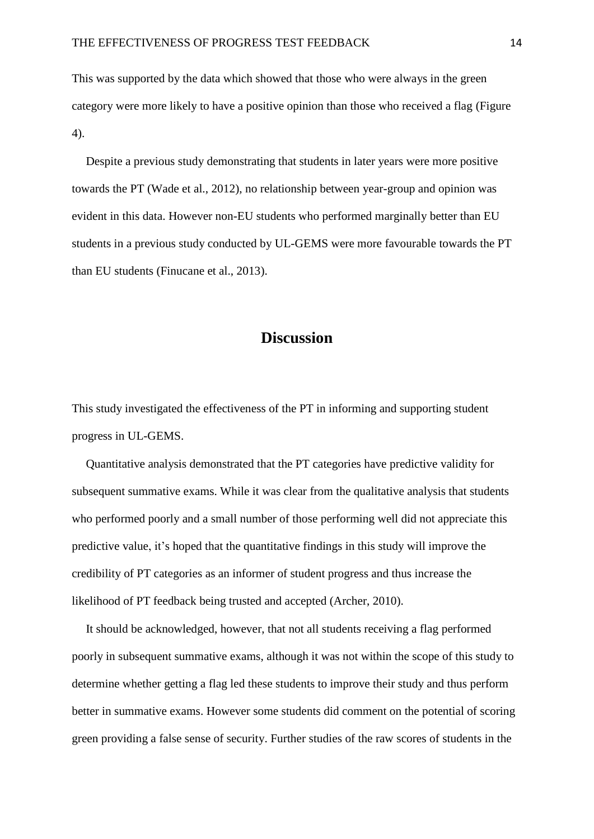This was supported by the data which showed that those who were always in the green category were more likely to have a positive opinion than those who received a flag (Figure 4).

Despite a previous study demonstrating that students in later years were more positive towards the PT [\(Wade et al., 2012\)](#page-21-1), no relationship between year-group and opinion was evident in this data. However non-EU students who performed marginally better than EU students in a previous study conducted by UL-GEMS were more favourable towards the PT than EU students [\(Finucane et al., 2013\)](#page-19-9).

# **Discussion**

This study investigated the effectiveness of the PT in informing and supporting student progress in UL-GEMS.

Quantitative analysis demonstrated that the PT categories have predictive validity for subsequent summative exams. While it was clear from the qualitative analysis that students who performed poorly and a small number of those performing well did not appreciate this predictive value, it's hoped that the quantitative findings in this study will improve the credibility of PT categories as an informer of student progress and thus increase the likelihood of PT feedback being trusted and accepted [\(Archer, 2010\)](#page-19-2).

It should be acknowledged, however, that not all students receiving a flag performed poorly in subsequent summative exams, although it was not within the scope of this study to determine whether getting a flag led these students to improve their study and thus perform better in summative exams. However some students did comment on the potential of scoring green providing a false sense of security. Further studies of the raw scores of students in the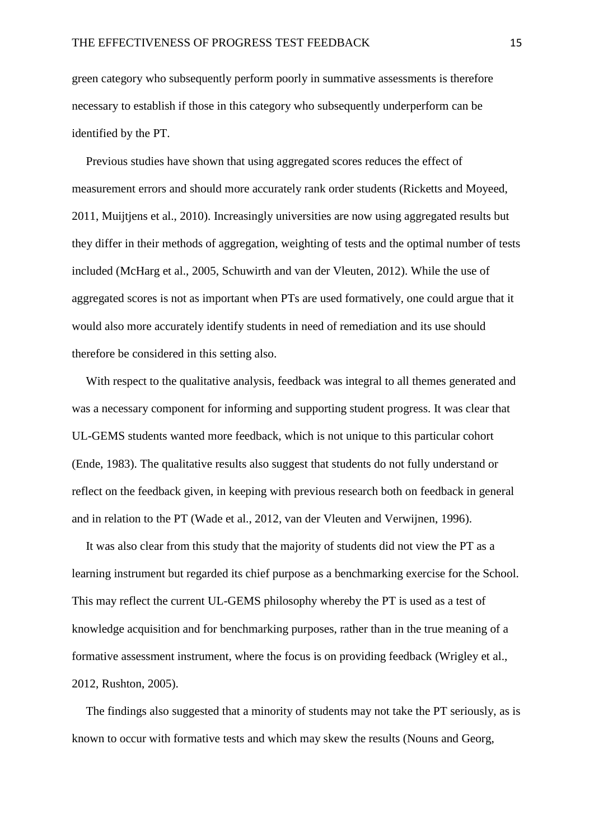green category who subsequently perform poorly in summative assessments is therefore necessary to establish if those in this category who subsequently underperform can be identified by the PT.

Previous studies have shown that using aggregated scores reduces the effect of measurement errors and should more accurately rank order students [\(Ricketts and Moyeed,](#page-20-8)  [2011,](#page-20-8) [Muijtjens et al., 2010\)](#page-20-13). Increasingly universities are now using aggregated results but they differ in their methods of aggregation, weighting of tests and the optimal number of tests included [\(McHarg et al., 2005,](#page-20-7) [Schuwirth and van der Vleuten, 2012\)](#page-20-6). While the use of aggregated scores is not as important when PTs are used formatively, one could argue that it would also more accurately identify students in need of remediation and its use should therefore be considered in this setting also.

With respect to the qualitative analysis, feedback was integral to all themes generated and was a necessary component for informing and supporting student progress. It was clear that UL-GEMS students wanted more feedback, which is not unique to this particular cohort [\(Ende, 1983\)](#page-19-1). The qualitative results also suggest that students do not fully understand or reflect on the feedback given, in keeping with previous research both on feedback in general and in relation to the PT [\(Wade et al., 2012,](#page-21-1) [van der Vleuten and Verwijnen, 1996\)](#page-21-3).

It was also clear from this study that the majority of students did not view the PT as a learning instrument but regarded its chief purpose as a benchmarking exercise for the School. This may reflect the current UL-GEMS philosophy whereby the PT is used as a test of knowledge acquisition and for benchmarking purposes, rather than in the true meaning of a formative assessment instrument, where the focus is on providing feedback [\(Wrigley et al.,](#page-21-0)  [2012,](#page-21-0) [Rushton, 2005\)](#page-20-4).

The findings also suggested that a minority of students may not take the PT seriously, as is known to occur with formative tests and which may skew the results [\(Nouns and Georg,](#page-20-2)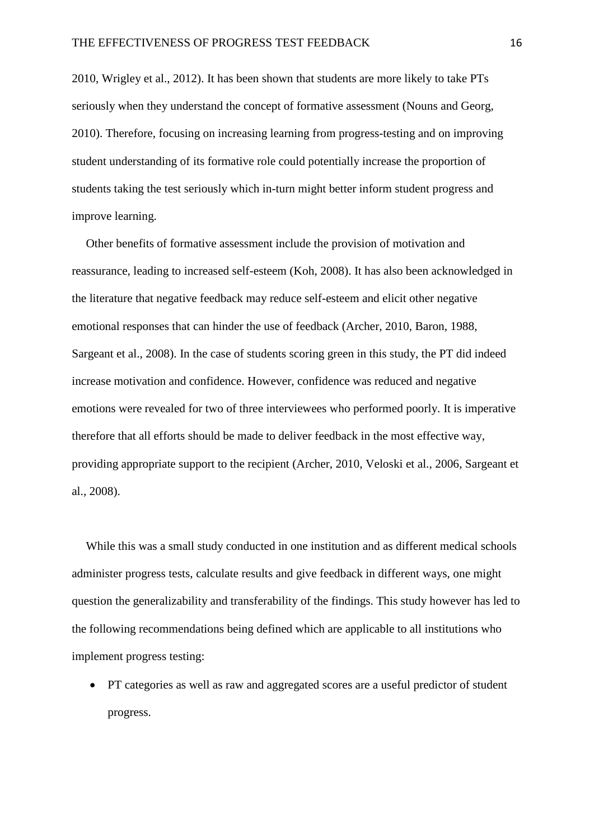[2010,](#page-20-2) [Wrigley et al., 2012\)](#page-21-0). It has been shown that students are more likely to take PTs seriously when they understand the concept of formative assessment [\(Nouns and Georg,](#page-20-2)  [2010\)](#page-20-2). Therefore, focusing on increasing learning from progress-testing and on improving student understanding of its formative role could potentially increase the proportion of students taking the test seriously which in-turn might better inform student progress and improve learning.

Other benefits of formative assessment include the provision of motivation and reassurance, leading to increased self-esteem [\(Koh, 2008\)](#page-20-1). It has also been acknowledged in the literature that negative feedback may reduce self-esteem and elicit other negative emotional responses that can hinder the use of feedback [\(Archer, 2010,](#page-19-2) [Baron, 1988,](#page-19-3) [Sargeant et al., 2008\)](#page-20-5). In the case of students scoring green in this study, the PT did indeed increase motivation and confidence. However, confidence was reduced and negative emotions were revealed for two of three interviewees who performed poorly. It is imperative therefore that all efforts should be made to deliver feedback in the most effective way, providing appropriate support to the recipient [\(Archer, 2010,](#page-19-2) [Veloski et al., 2006,](#page-21-4) [Sargeant et](#page-20-5)  [al., 2008\)](#page-20-5).

While this was a small study conducted in one institution and as different medical schools administer progress tests, calculate results and give feedback in different ways, one might question the generalizability and transferability of the findings. This study however has led to the following recommendations being defined which are applicable to all institutions who implement progress testing:

 PT categories as well as raw and aggregated scores are a useful predictor of student progress.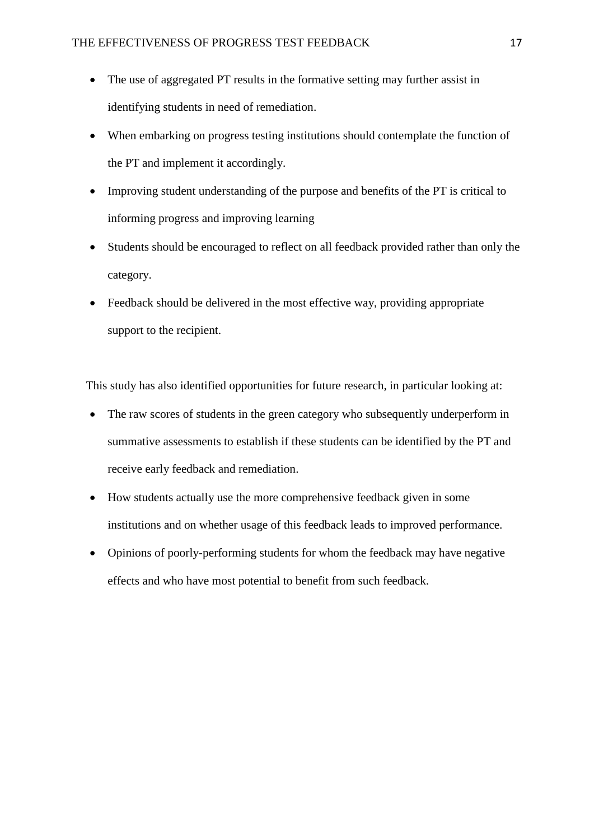- The use of aggregated PT results in the formative setting may further assist in identifying students in need of remediation.
- When embarking on progress testing institutions should contemplate the function of the PT and implement it accordingly.
- Improving student understanding of the purpose and benefits of the PT is critical to informing progress and improving learning
- Students should be encouraged to reflect on all feedback provided rather than only the category.
- Feedback should be delivered in the most effective way, providing appropriate support to the recipient.

This study has also identified opportunities for future research, in particular looking at:

- The raw scores of students in the green category who subsequently underperform in summative assessments to establish if these students can be identified by the PT and receive early feedback and remediation.
- How students actually use the more comprehensive feedback given in some institutions and on whether usage of this feedback leads to improved performance.
- Opinions of poorly-performing students for whom the feedback may have negative effects and who have most potential to benefit from such feedback.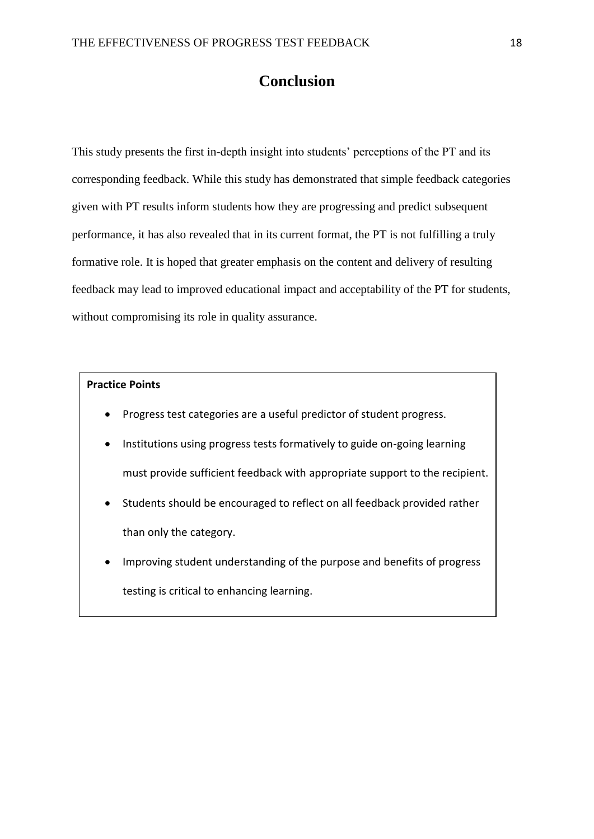# **Conclusion**

This study presents the first in-depth insight into students' perceptions of the PT and its corresponding feedback. While this study has demonstrated that simple feedback categories given with PT results inform students how they are progressing and predict subsequent performance, it has also revealed that in its current format, the PT is not fulfilling a truly formative role. It is hoped that greater emphasis on the content and delivery of resulting feedback may lead to improved educational impact and acceptability of the PT for students, without compromising its role in quality assurance.

### **Practice Points**

- Progress test categories are a useful predictor of student progress.
- Institutions using progress tests formatively to guide on-going learning must provide sufficient feedback with appropriate support to the recipient.
- Students should be encouraged to reflect on all feedback provided rather than only the category.
- Improving student understanding of the purpose and benefits of progress testing is critical to enhancing learning.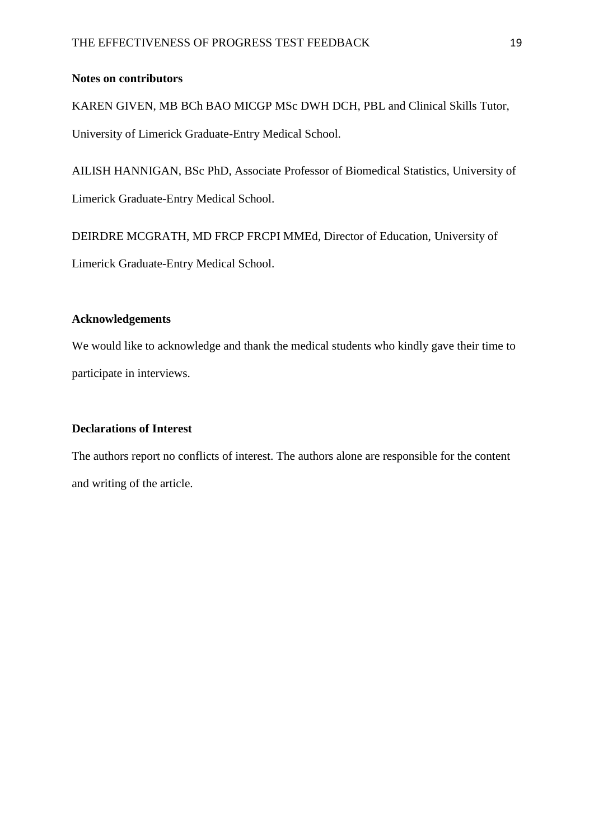### **Notes on contributors**

KAREN GIVEN, MB BCh BAO MICGP MSc DWH DCH, PBL and Clinical Skills Tutor,

University of Limerick Graduate-Entry Medical School.

AILISH HANNIGAN, BSc PhD, Associate Professor of Biomedical Statistics, University of Limerick Graduate-Entry Medical School.

DEIRDRE MCGRATH, MD FRCP FRCPI MMEd, Director of Education, University of Limerick Graduate-Entry Medical School.

### **Acknowledgements**

We would like to acknowledge and thank the medical students who kindly gave their time to participate in interviews.

## **Declarations of Interest**

The authors report no conflicts of interest. The authors alone are responsible for the content and writing of the article.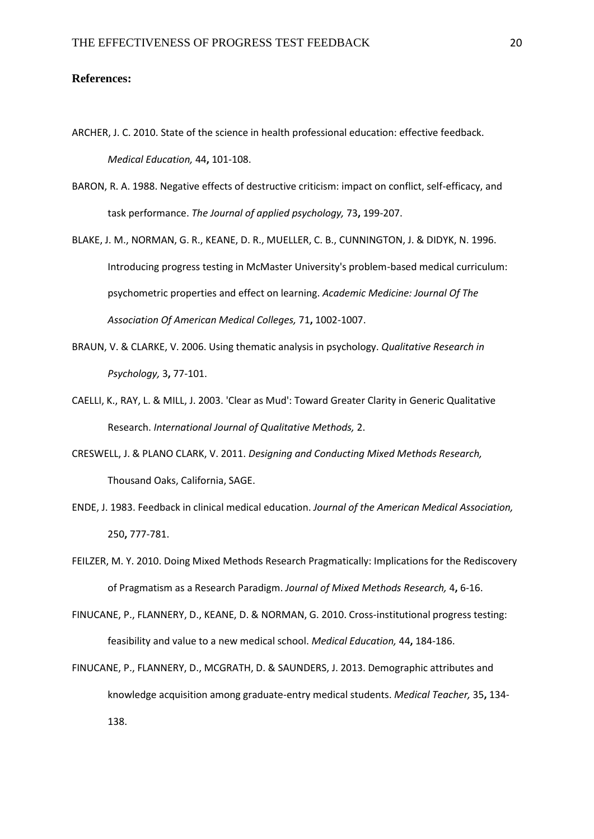#### **References:**

- <span id="page-19-2"></span>ARCHER, J. C. 2010. State of the science in health professional education: effective feedback. *Medical Education,* 44**,** 101-108.
- <span id="page-19-3"></span>BARON, R. A. 1988. Negative effects of destructive criticism: impact on conflict, self-efficacy, and task performance. *The Journal of applied psychology,* 73**,** 199-207.
- <span id="page-19-0"></span>BLAKE, J. M., NORMAN, G. R., KEANE, D. R., MUELLER, C. B., CUNNINGTON, J. & DIDYK, N. 1996. Introducing progress testing in McMaster University's problem-based medical curriculum: psychometric properties and effect on learning. *Academic Medicine: Journal Of The Association Of American Medical Colleges,* 71**,** 1002-1007.
- <span id="page-19-8"></span>BRAUN, V. & CLARKE, V. 2006. Using thematic analysis in psychology. *Qualitative Research in Psychology,* 3**,** 77-101.
- <span id="page-19-7"></span>CAELLI, K., RAY, L. & MILL, J. 2003. 'Clear as Mud': Toward Greater Clarity in Generic Qualitative Research. *International Journal of Qualitative Methods,* 2.
- <span id="page-19-5"></span>CRESWELL, J. & PLANO CLARK, V. 2011. *Designing and Conducting Mixed Methods Research,*  Thousand Oaks, California, SAGE.
- <span id="page-19-1"></span>ENDE, J. 1983. Feedback in clinical medical education. *Journal of the American Medical Association,* 250**,** 777-781.
- <span id="page-19-4"></span>FEILZER, M. Y. 2010. Doing Mixed Methods Research Pragmatically: Implications for the Rediscovery of Pragmatism as a Research Paradigm. *Journal of Mixed Methods Research,* 4**,** 6-16.
- <span id="page-19-6"></span>FINUCANE, P., FLANNERY, D., KEANE, D. & NORMAN, G. 2010. Cross-institutional progress testing: feasibility and value to a new medical school. *Medical Education,* 44**,** 184-186.
- <span id="page-19-9"></span>FINUCANE, P., FLANNERY, D., MCGRATH, D. & SAUNDERS, J. 2013. Demographic attributes and knowledge acquisition among graduate-entry medical students. *Medical Teacher,* 35**,** 134- 138.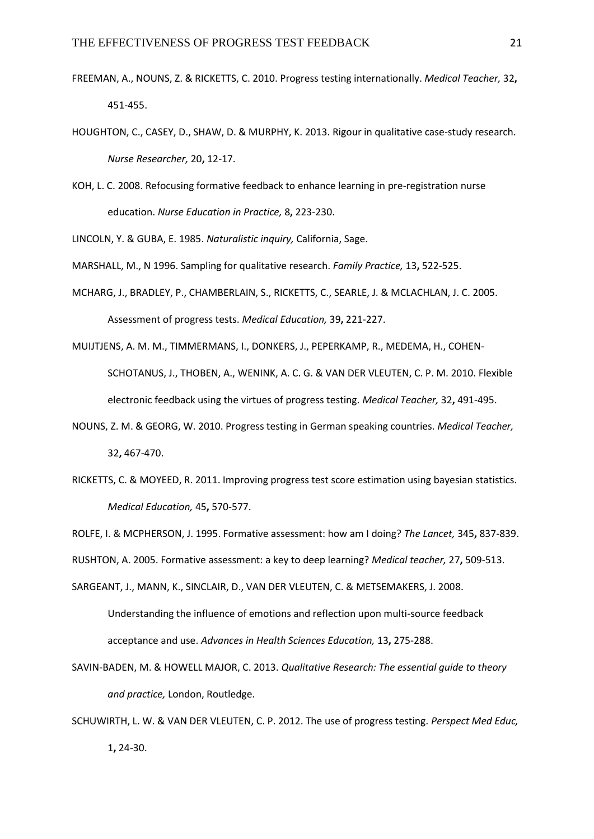- <span id="page-20-0"></span>FREEMAN, A., NOUNS, Z. & RICKETTS, C. 2010. Progress testing internationally. *Medical Teacher,* 32**,** 451-455.
- <span id="page-20-11"></span>HOUGHTON, C., CASEY, D., SHAW, D. & MURPHY, K. 2013. Rigour in qualitative case-study research. *Nurse Researcher,* 20**,** 12-17.
- <span id="page-20-1"></span>KOH, L. C. 2008. Refocusing formative feedback to enhance learning in pre-registration nurse education. *Nurse Education in Practice,* 8**,** 223-230.

<span id="page-20-12"></span>LINCOLN, Y. & GUBA, E. 1985. *Naturalistic inquiry,* California, Sage.

<span id="page-20-10"></span>MARSHALL, M., N 1996. Sampling for qualitative research. *Family Practice,* 13**,** 522-525.

- <span id="page-20-7"></span>MCHARG, J., BRADLEY, P., CHAMBERLAIN, S., RICKETTS, C., SEARLE, J. & MCLACHLAN, J. C. 2005. Assessment of progress tests. *Medical Education,* 39**,** 221-227.
- <span id="page-20-13"></span>MUIJTJENS, A. M. M., TIMMERMANS, I., DONKERS, J., PEPERKAMP, R., MEDEMA, H., COHEN-SCHOTANUS, J., THOBEN, A., WENINK, A. C. G. & VAN DER VLEUTEN, C. P. M. 2010. Flexible electronic feedback using the virtues of progress testing. *Medical Teacher,* 32**,** 491-495.
- <span id="page-20-2"></span>NOUNS, Z. M. & GEORG, W. 2010. Progress testing in German speaking countries. *Medical Teacher,* 32**,** 467-470.
- <span id="page-20-8"></span>RICKETTS, C. & MOYEED, R. 2011. Improving progress test score estimation using bayesian statistics. *Medical Education,* 45**,** 570-577.
- <span id="page-20-3"></span>ROLFE, I. & MCPHERSON, J. 1995. Formative assessment: how am I doing? *The Lancet,* 345**,** 837-839.

<span id="page-20-4"></span>RUSHTON, A. 2005. Formative assessment: a key to deep learning? *Medical teacher,* 27**,** 509-513.

- <span id="page-20-5"></span>SARGEANT, J., MANN, K., SINCLAIR, D., VAN DER VLEUTEN, C. & METSEMAKERS, J. 2008. Understanding the influence of emotions and reflection upon multi-source feedback acceptance and use. *Advances in Health Sciences Education,* 13**,** 275-288.
- <span id="page-20-9"></span>SAVIN-BADEN, M. & HOWELL MAJOR, C. 2013. *Qualitative Research: The essential guide to theory and practice,* London, Routledge.
- <span id="page-20-6"></span>SCHUWIRTH, L. W. & VAN DER VLEUTEN, C. P. 2012. The use of progress testing. *Perspect Med Educ,* 1**,** 24-30.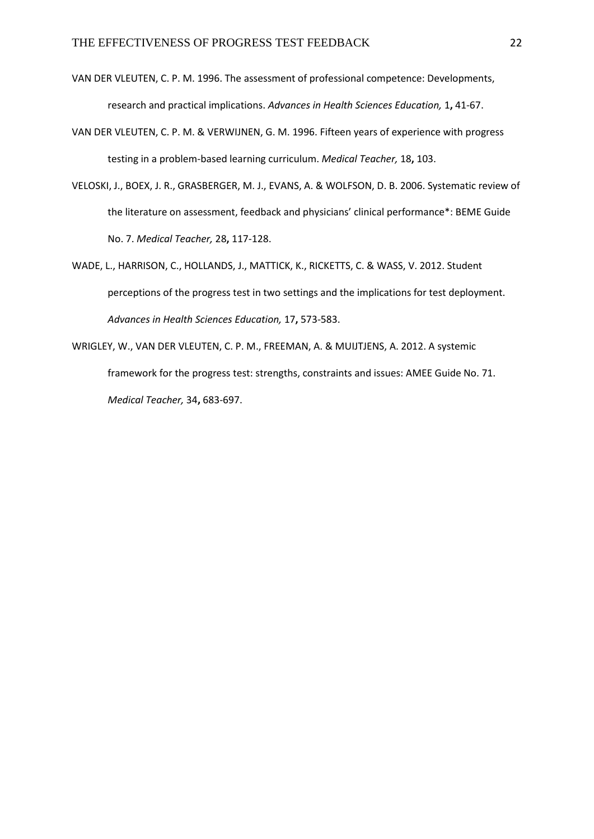- <span id="page-21-2"></span>VAN DER VLEUTEN, C. P. M. 1996. The assessment of professional competence: Developments, research and practical implications. *Advances in Health Sciences Education,* 1**,** 41-67.
- <span id="page-21-3"></span>VAN DER VLEUTEN, C. P. M. & VERWIJNEN, G. M. 1996. Fifteen years of experience with progress testing in a problem-based learning curriculum. *Medical Teacher,* 18**,** 103.
- <span id="page-21-4"></span>VELOSKI, J., BOEX, J. R., GRASBERGER, M. J., EVANS, A. & WOLFSON, D. B. 2006. Systematic review of the literature on assessment, feedback and physicians' clinical performance\*: BEME Guide No. 7. *Medical Teacher,* 28**,** 117-128.
- <span id="page-21-1"></span>WADE, L., HARRISON, C., HOLLANDS, J., MATTICK, K., RICKETTS, C. & WASS, V. 2012. Student perceptions of the progress test in two settings and the implications for test deployment. *Advances in Health Sciences Education,* 17**,** 573-583.
- <span id="page-21-0"></span>WRIGLEY, W., VAN DER VLEUTEN, C. P. M., FREEMAN, A. & MUIJTJENS, A. 2012. A systemic framework for the progress test: strengths, constraints and issues: AMEE Guide No. 71. *Medical Teacher,* 34**,** 683-697.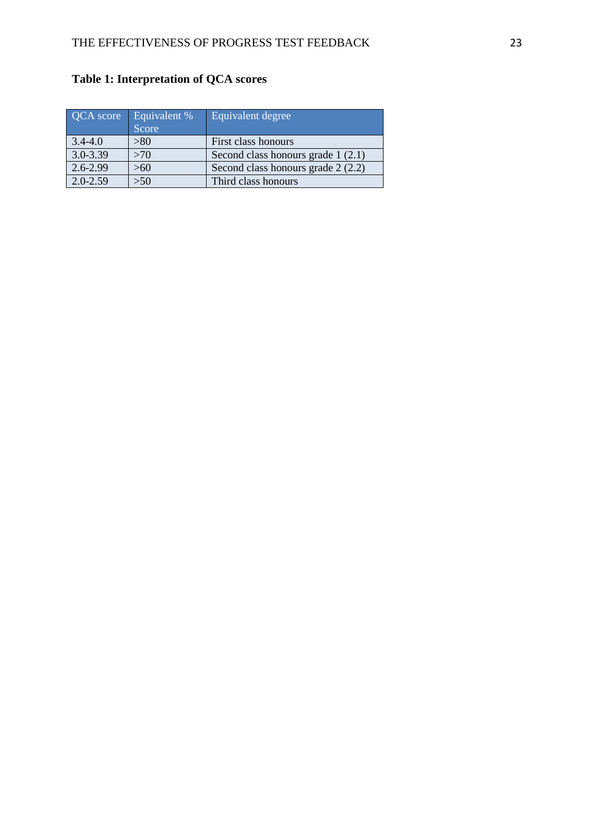| QCA score    | Equivalent %<br>Score | Equivalent degree                   |
|--------------|-----------------------|-------------------------------------|
| $3.4 - 4.0$  | > 80                  | First class honours                 |
| $3.0 - 3.39$ | >70                   | Second class honours grade $1(2.1)$ |
| $2.6 - 2.99$ | >60                   | Second class honours grade $2(2.2)$ |
| $2.0 - 2.59$ | >50                   | Third class honours                 |

# **Table 1: Interpretation of QCA scores**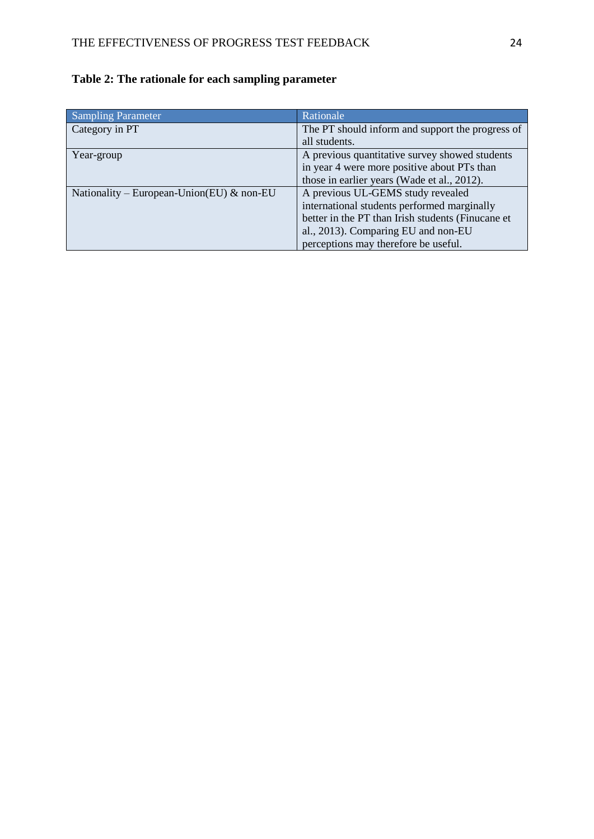| <b>Sampling Parameter</b>                 | Rationale                                         |
|-------------------------------------------|---------------------------------------------------|
| Category in PT                            | The PT should inform and support the progress of  |
|                                           | all students.                                     |
| Year-group                                | A previous quantitative survey showed students    |
|                                           | in year 4 were more positive about PTs than       |
|                                           | those in earlier years (Wade et al., 2012).       |
| Nationality – European-Union(EU) & non-EU | A previous UL-GEMS study revealed                 |
|                                           | international students performed marginally       |
|                                           | better in the PT than Irish students (Finucane et |
|                                           | al., 2013). Comparing EU and non-EU               |
|                                           | perceptions may therefore be useful.              |

# **Table 2: The rationale for each sampling parameter**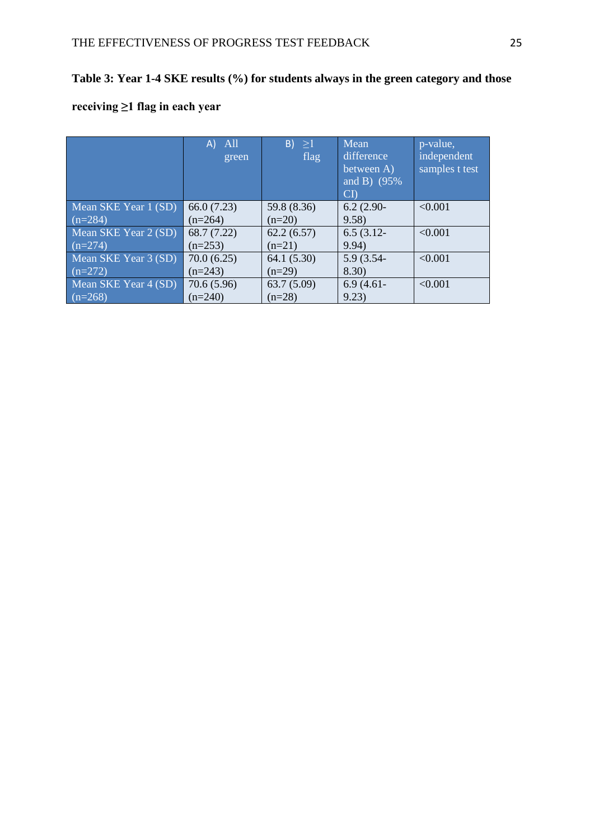# **Table 3: Year 1-4 SKE results (%) for students always in the green category and those**

# **receiving ≥1 flag in each year**

|                      | All<br>$\mathsf{A}$ | $B$ ) $\geq$ 1<br>flag | Mean<br>difference       | p-value,<br>independent |
|----------------------|---------------------|------------------------|--------------------------|-------------------------|
|                      | green               |                        | between $\overline{A}$ ) | samples t test          |
|                      |                     |                        | and B) $(95\%$           |                         |
|                      |                     |                        | $\mathbf{C}\mathbf{D}$   |                         |
| Mean SKE Year 1 (SD) | 66.0(7.23)          | 59.8 (8.36)            | $6.2(2.90-$              | < 0.001                 |
| $(n=284)$            | $(n=264)$           | $(n=20)$               | 9.58)                    |                         |
| Mean SKE Year 2 (SD) | 68.7 (7.22)         | 62.2(6.57)             | $6.5(3.12 -$             | < 0.001                 |
| $(n=274)$            | $(n=253)$           | $(n=21)$               | 9.94)                    |                         |
| Mean SKE Year 3 (SD) | 70.0(6.25)          | 64.1(5.30)             | 5.9 (3.54-               | < 0.001                 |
| $(n=272)$            | $(n=243)$           | $(n=29)$               | 8.30)                    |                         |
| Mean SKE Year 4 (SD) | 70.6(5.96)          | 63.7(5.09)             | $6.9(4.61 -$             | < 0.001                 |
| $(n=268)$            | $(n=240)$           | $(n=28)$               | 9.23)                    |                         |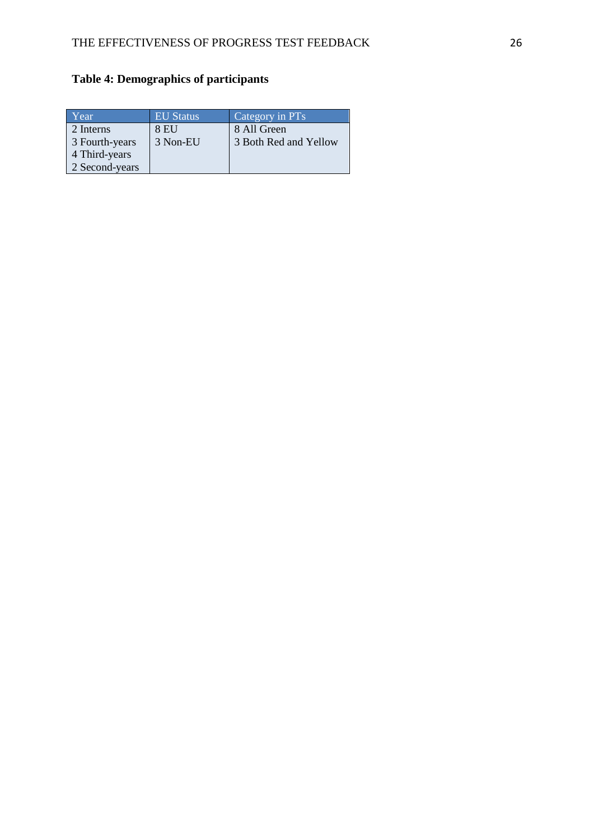# **Table 4: Demographics of participants**

| Year           | <b>EU Status</b> | Category in PTs       |
|----------------|------------------|-----------------------|
| 2 Interns      | 8 EU             | 8 All Green           |
| 3 Fourth-years | 3 Non-EU         | 3 Both Red and Yellow |
| 4 Third-years  |                  |                       |
| 2 Second-years |                  |                       |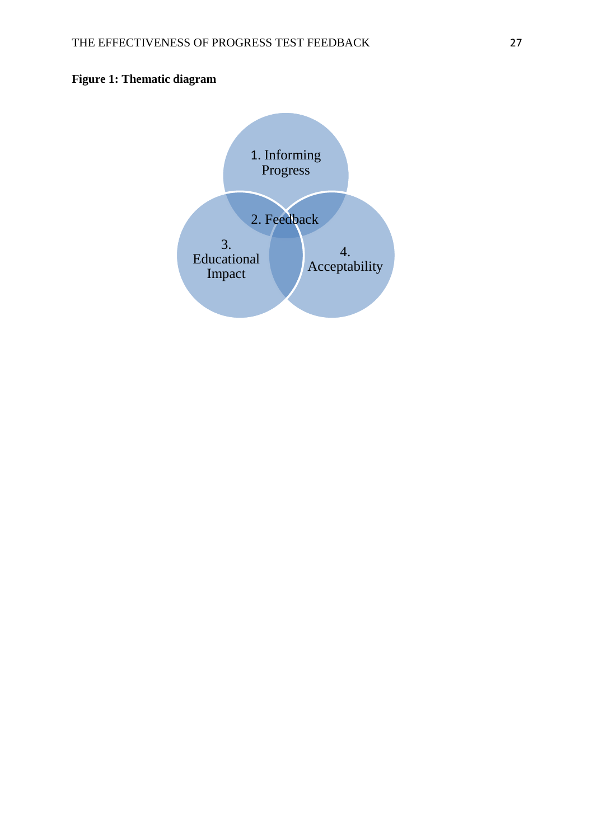# **Figure 1: Thematic diagram**

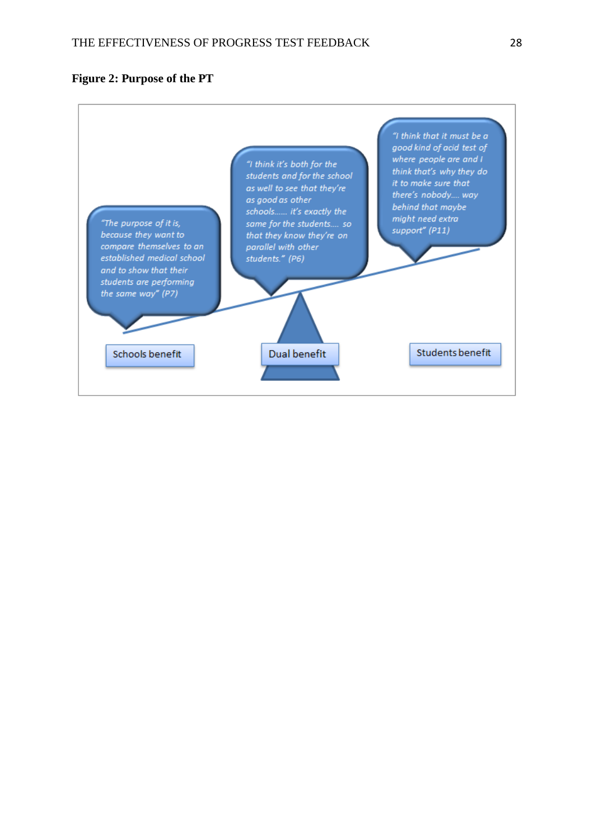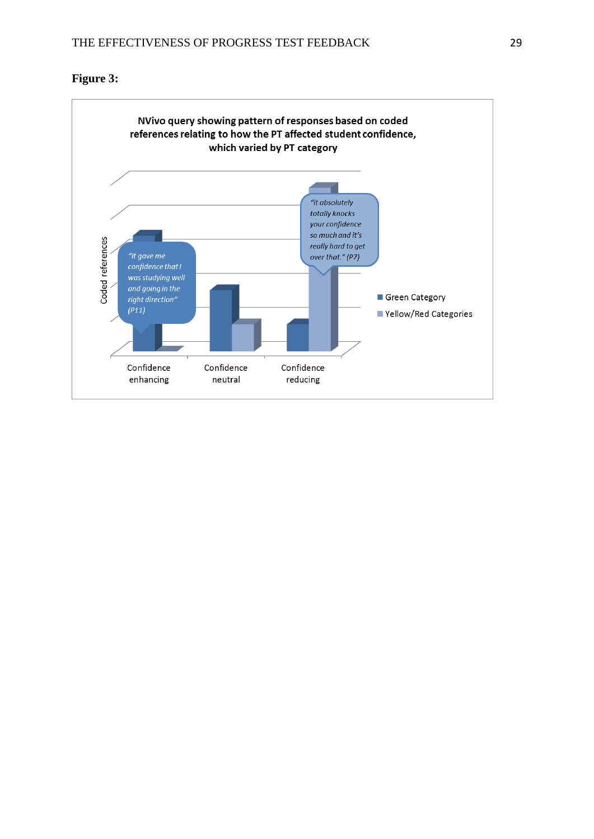